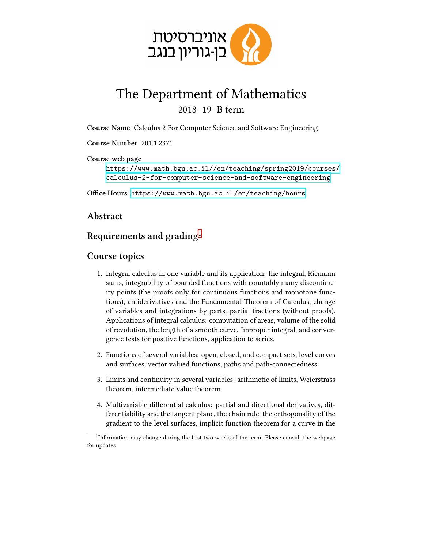

## The Department of Mathematics 2018–19–B term

**Course Name** Calculus 2 For Computer Science and Software Engineering

**Course Number** 201.1.2371

**Course web page**

[https://www.math.bgu.ac.il//en/teaching/spring2019/courses/](https://www.math.bgu.ac.il//en/teaching/spring2019/courses/calculus-2-for-computer-science-and-software-engineering) [calculus-2-for-computer-science-and-software-engineering](https://www.math.bgu.ac.il//en/teaching/spring2019/courses/calculus-2-for-computer-science-and-software-engineering)

**Office Hours** <https://www.math.bgu.ac.il/en/teaching/hours>

**Abstract**

## **Requirements and grading**[1](#page-0-0)

## **Course topics**

- 1. Integral calculus in one variable and its application: the integral, Riemann sums, integrability of bounded functions with countably many discontinuity points (the proofs only for continuous functions and monotone functions), antiderivatives and the Fundamental Theorem of Calculus, change of variables and integrations by parts, partial fractions (without proofs). Applications of integral calculus: computation of areas, volume of the solid of revolution, the length of a smooth curve. Improper integral, and convergence tests for positive functions, application to series.
- 2. Functions of several variables: open, closed, and compact sets, level curves and surfaces, vector valued functions, paths and path-connectedness.
- 3. Limits and continuity in several variables: arithmetic of limits, Weierstrass theorem, intermediate value theorem.
- 4. Multivariable differential calculus: partial and directional derivatives, differentiability and the tangent plane, the chain rule, the orthogonality of the gradient to the level surfaces, implicit function theorem for a curve in the

<span id="page-0-0"></span><sup>&</sup>lt;sup>1</sup>Information may change during the first two weeks of the term. Please consult the webpage for updates